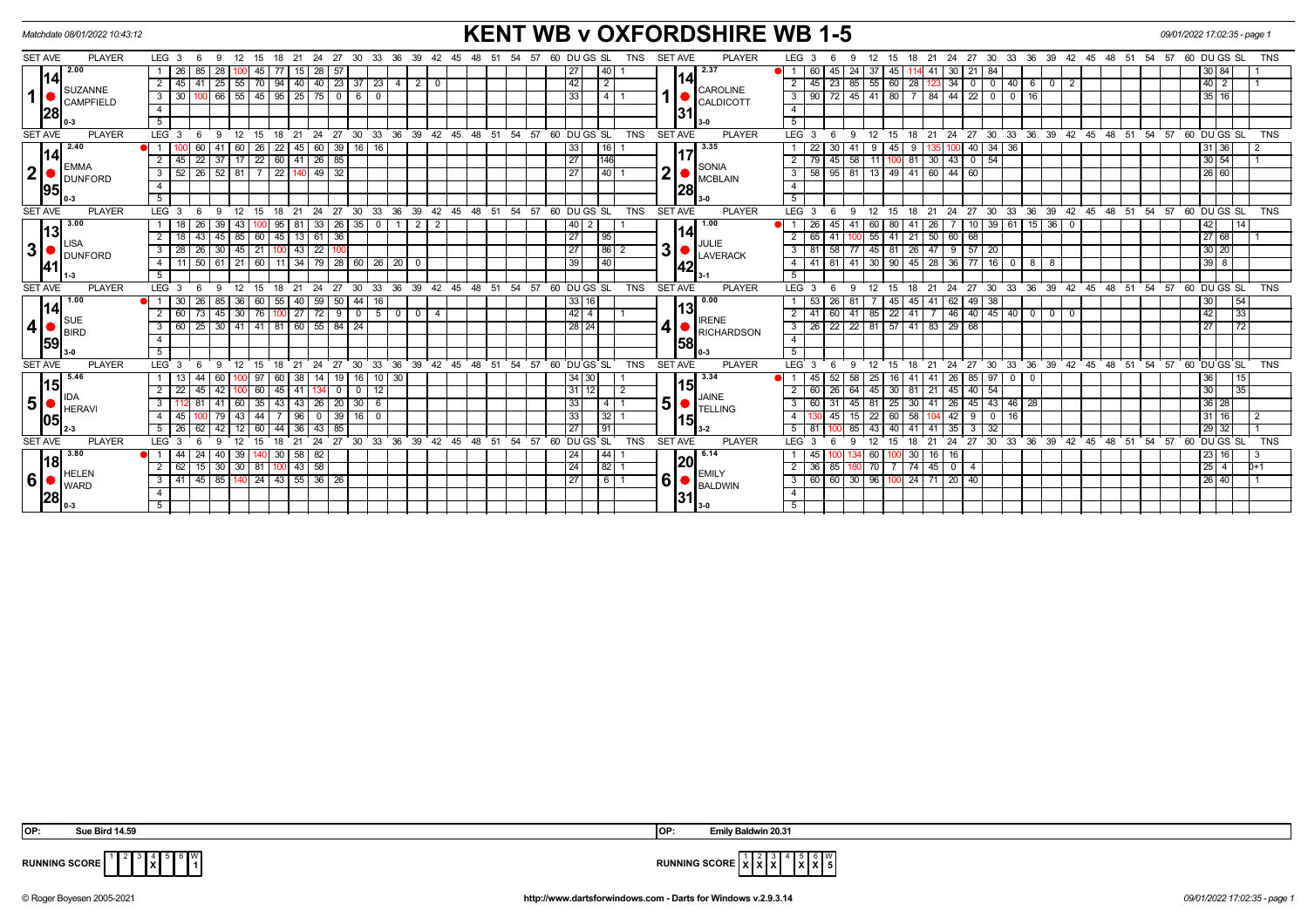| <b>KENT WB v OXFORDSHIRE WB 1-5</b><br>Matchdate 08/01/2022 10:43:12<br>09/01/2022 17:02:35 - page 1 |                                                                                                |                                                                                                                                                                                                                                     |                                      |  |  |  |  |  |  |  |  |  |
|------------------------------------------------------------------------------------------------------|------------------------------------------------------------------------------------------------|-------------------------------------------------------------------------------------------------------------------------------------------------------------------------------------------------------------------------------------|--------------------------------------|--|--|--|--|--|--|--|--|--|
| <b>SET AVE</b><br><b>PLAYER</b>                                                                      | LEG <sub>3</sub><br>21<br>24 27<br>30 33 36<br>39<br>- 6<br>- 9<br>12<br>15 18                 | <b>PLAYER</b><br>60 DU GS SL<br><b>SET AVE</b><br>LEG <sub>3</sub><br>30 33 36 39 42 45 48 51 54 57 60 DUGS SL<br>54 57<br><b>TNS</b><br>18 21<br>24<br>- 27<br>$-42$<br>45<br>48 51<br>12<br>15<br>9                               | TNS                                  |  |  |  |  |  |  |  |  |  |
| 2.00<br>l14l<br><b>SUZANNE</b><br>1  <br><b>CAMPFIELD</b><br>28                                      | 26<br>-28<br>45<br>28<br>85<br>-57<br>15                                                       | 2.37<br>27 <sub>l</sub><br> 40 <br>60<br>45<br>37<br>45<br>24 I<br>30<br>21<br>$\blacksquare$ 1<br>-84<br>41.                                                                                                                       | 30 84                                |  |  |  |  |  |  |  |  |  |
|                                                                                                      | $25 \mid 55$<br>  70   94   40   40   23   37   23   4<br>$\overline{2}$<br>45   41<br>$2$   0 | 14<br>42<br>$\overline{2}$<br>45<br>23<br>85 55<br>$60$ 28<br>$123$ 34<br> 40 6<br>$\overline{2}$<br>$\begin{array}{c c c c c} \hline \circ & \circ & \circ \end{array}$<br>$\overline{2}$<br>$\overline{0}$                        | 40 2                                 |  |  |  |  |  |  |  |  |  |
|                                                                                                      | 66   55   45   95   25   75   0   6  <br>$\overline{\phantom{a}}$<br>30 I<br>$\overline{0}$    | <b>CAROLINE</b><br>72<br>  45   41   80   7   84   44   22   0  <br>33<br>90<br>$0$ 16<br>l 4 l<br>3 I<br><b>CALDICOTT</b>                                                                                                          | 35 16                                |  |  |  |  |  |  |  |  |  |
|                                                                                                      | $\overline{4}$                                                                                 | $\overline{4}$<br>31                                                                                                                                                                                                                |                                      |  |  |  |  |  |  |  |  |  |
|                                                                                                      | 5                                                                                              | 5                                                                                                                                                                                                                                   |                                      |  |  |  |  |  |  |  |  |  |
| <b>PLAYER</b><br><b>SET AVE</b>                                                                      | $LEG$ 3<br>30 33 36 39 42<br>24<br>27<br>9<br>12<br>18<br>21<br>15                             | ີ 45<br>ີ 48<br>້ 51<br>54<br>57<br>60 DUGS SL<br><b>TNS</b><br>SET AVE<br><b>PLAYER</b><br>LEG <sub>3</sub><br>$30^{\circ}$<br>33<br>$36 \quad 39$<br>$42 \quad 45 \quad 48 \quad 51 \quad 54$<br>24<br>27<br>12<br>18<br>-9<br>15 | 57<br>60 DUGS SL<br><b>TNS</b>       |  |  |  |  |  |  |  |  |  |
| 2.40                                                                                                 | 60<br>$39$ 16<br>60<br>26<br>22<br>16<br>-41                                                   | 3.35<br>22<br>33<br>l 16 I<br>30<br>40<br>34<br>36                                                                                                                                                                                  | 31 36                                |  |  |  |  |  |  |  |  |  |
| 114<br>EMMA<br>2 <sup>1</sup><br><b>DUNFORD</b><br>95                                                | $\sqrt{22}$<br>60 41 26 85<br>$\overline{2}$<br>$\overline{22}$<br>45<br>$37$ 17               | 1146<br>$\overline{27}$<br>79<br>45<br>58<br>81 30 43<br>$0$ 54<br>$-11$<br>SONIA                                                                                                                                                   | $30\overline{)54}$                   |  |  |  |  |  |  |  |  |  |
|                                                                                                      | $49 \overline{)32}$<br>$52$   26  <br>$52$   81<br>$7\sqrt{ }$<br>22<br>3 <sup>1</sup>         | 2 <sup>1</sup><br>140<br>$3 \mid 58$<br>95<br>81 13 49 41 60 44<br>$\overline{27}$<br>60<br><b>MCBLAIN</b>                                                                                                                          | 26 60                                |  |  |  |  |  |  |  |  |  |
|                                                                                                      | $\overline{4}$                                                                                 | $\overline{4}$<br> 28                                                                                                                                                                                                               |                                      |  |  |  |  |  |  |  |  |  |
|                                                                                                      | 5                                                                                              | 5<br>$3-0$                                                                                                                                                                                                                          |                                      |  |  |  |  |  |  |  |  |  |
| <b>PLAYER</b><br><b>SET AVE</b>                                                                      | $24 \cdot 27$<br>LEG <sup>3</sup><br>9<br>$^{\circ}$ 12<br>$^{\circ}$ 21<br>- 6<br>15<br>18    | 24 27 30 33 36 39 42 45 48 51 54 57 60 DUGS SL<br>30 33 36 39 42 45 48 51 54 57 60 DUGS SL<br><b>PLAYER</b><br><b>TNS</b><br><b>SET AVE</b><br>LEG <sub>3</sub><br>12<br>15<br>18 21<br>- 6<br>9                                    | <b>TNS</b>                           |  |  |  |  |  |  |  |  |  |
| 3.00                                                                                                 | $95$   81   33   26   35   0  <br>$2$   2<br>$18$   26<br>43<br>39                             | $10$ 39 61 15 36<br>1.00<br>26<br>45<br>$41 \ 60$<br>80<br>$41 \overline{26}$<br>$\overline{\mathbf{0}}$<br> 40 2 <br>$\overline{7}$                                                                                                | 42<br>14                             |  |  |  |  |  |  |  |  |  |
| 13                                                                                                   | $\overline{2}$<br>43<br>$45 \mid 85$<br>60<br>$45$   13   61<br>36<br>18 I                     | 14<br>65<br>55<br>$50$ 60<br>$\sqrt{95}$<br>$-41$<br>41<br>21<br>68<br>27 <sup>1</sup><br>2 <sup>1</sup>                                                                                                                            | $\sqrt{27}$ 68                       |  |  |  |  |  |  |  |  |  |
| _ISA<br>3 <sup>1</sup><br><b>DUNFORD</b><br><u> 41</u>                                               | $28 \mid 26 \mid$<br>$30 \mid 45$<br>21<br>$100$ 43 22<br>$\overline{\phantom{a}3}$            | JULIE<br>3 <sup>1</sup><br> 86 2<br>58<br>77 45 81 26 47 9 57 20<br>27<br>$3 \mid 81$<br>LAVERACK                                                                                                                                   | 30 20                                |  |  |  |  |  |  |  |  |  |
|                                                                                                      | $-4$                                                                                           | 4 4 4 1 8 1 4 1 30 90 45 28 36 77 16 0 8 8<br>$\overline{140}$<br>39<br> 42                                                                                                                                                         | $\sqrt{39} \sqrt{8}$                 |  |  |  |  |  |  |  |  |  |
|                                                                                                      | $\overline{5}$                                                                                 | 5                                                                                                                                                                                                                                   |                                      |  |  |  |  |  |  |  |  |  |
| <b>SET AVE</b><br><b>PLAYER</b>                                                                      | LEG <sub>3</sub><br>9<br>$\overline{12}$<br>15<br>21<br>6<br>18                                | <b>PLAYER</b><br>24 27 30 33 36 39 42 45 48 51 54 57 60 DUGS SL<br>24 27 30 33 36 39 42 45 48 51 54 57 60 DUGS SL<br><b>SET AVE</b><br>LEG <sub>3</sub><br><b>TNS</b><br>15<br>18 21<br>12<br>9                                     | <b>TNS</b>                           |  |  |  |  |  |  |  |  |  |
| 1.00                                                                                                 | 85 36<br>60 55 40 59<br>$50 \mid 44 \mid$<br>● 1 1<br>$30 \mid 26$<br>16                       | 33 16 <br>0.00<br>41 62 49 38<br>53<br>26<br>45<br>45<br>-81                                                                                                                                                                        | 30 <sup>°</sup><br>$\sqrt{54}$       |  |  |  |  |  |  |  |  |  |
| l14                                                                                                  | 76   100   27   72   9   0   5   0   0   4<br>$\overline{2}$<br>60 73<br>$45 \mid 30 \mid$     | 13<br>424<br>  41   85   22   41   7   46   40   45   40   0   0   0<br>$2 \mid 41$<br>60<br><b>IRENE</b>                                                                                                                           | 42<br>$\overline{33}$                |  |  |  |  |  |  |  |  |  |
| SUE<br>4 <sup>1</sup><br><b>BIRD</b>                                                                 | 60   25   30   41   41   81   60   55   84   24<br>$\overline{\phantom{a}}$                    | 41<br>22 22 81 57 41 83 29 68<br>$3 \mid 26$<br>28 24<br><b>RICHARDSON</b>                                                                                                                                                          | 27<br> 72                            |  |  |  |  |  |  |  |  |  |
| 59                                                                                                   | $\overline{4}$                                                                                 | $\overline{4}$<br><b>158</b>                                                                                                                                                                                                        |                                      |  |  |  |  |  |  |  |  |  |
|                                                                                                      | 5                                                                                              | 5<br>0-3                                                                                                                                                                                                                            |                                      |  |  |  |  |  |  |  |  |  |
| <b>SET AVE</b><br><b>PLAYER</b>                                                                      | 36<br>$39 \quad 42$<br>27<br>30<br>33<br>LEG <sub>3</sub><br>21<br>24<br>-9<br>18<br>15        | 36 39 42 45 48 51 54<br>45 48 51<br>54<br>57<br>60 DU GS SL<br><b>TNS</b><br><b>SET AVE</b><br><b>PLAYER</b><br>LEG <sub>3</sub><br>27<br>30<br>33<br>21<br>24<br><b>q</b><br>12<br>15<br>18                                        | 57<br>60 DU GS SL<br><b>TNS</b>      |  |  |  |  |  |  |  |  |  |
| 5.46<br>l15l                                                                                         | 44<br>97<br>$10 \mid 30$<br>13<br>60<br>60<br>- 38<br>14<br>19   16                            | 3.34<br>45<br>52<br>26<br>85 97 0<br>34 30 <br>58 I<br>25<br>16<br>41<br>41<br>$\overline{\mathbf{0}}$<br> 15                                                                                                                       | 36<br> 15                            |  |  |  |  |  |  |  |  |  |
|                                                                                                      | 60<br>$\overline{2}$<br>22<br>45<br>42<br>45<br>$0$   $0$  <br>12<br> 41 <br>134               | 30 81 21 45 40 54<br>31 12<br>60<br>26<br>$\overline{2}$<br>2 <sup>1</sup><br>64 l<br>45<br>JAINE                                                                                                                                   | 30<br>$\overline{35}$                |  |  |  |  |  |  |  |  |  |
| 5 <sup>1</sup><br><b>HERAVI</b>                                                                      | $\overline{\mathbf{3}}$<br>35<br>26<br>20   30  <br>.6'<br>-41<br>43<br>43                     | 5 <sup>1</sup><br>33<br>25<br>26<br>$45 \mid 43$<br>$46 \mid 28$<br>$\overline{\mathbf{3}}$<br>60<br>31<br>30<br>14 I<br>45 I<br>41<br><b>TELLING</b>                                                                               | 36 28                                |  |  |  |  |  |  |  |  |  |
| 105                                                                                                  | $\overline{4}$<br>44<br>39 I<br>16 I<br>$\overline{0}$<br>45<br>96<br>0                        | 32 <br>33 <sub>1</sub><br>22<br>60<br>42<br>16<br>45<br>15 I<br>58<br>- 9<br> 15                                                                                                                                                    | 31   16  <br>-2                      |  |  |  |  |  |  |  |  |  |
|                                                                                                      | 5 <sup>1</sup><br>60<br>85<br><b>26</b><br>62<br>43                                            | $\sqrt{91}$<br>27 <sup>1</sup><br>35<br>32<br>$3-2$<br>85<br>40<br>-41<br>- 3                                                                                                                                                       | 29   32                              |  |  |  |  |  |  |  |  |  |
| <b>PLAYER</b><br><b>SET AVE</b>                                                                      | LEG <sup>3</sup><br>27<br>30 33 36<br>$39 \quad 42$<br>21<br>24<br>Q<br>15<br>18               | <b>PLAYER</b><br>$^{\circ}$ 45<br>48<br>ີ 51<br>$54$ $57$ 60 DUGS SL<br><b>TNS</b><br><b>SET AVE</b><br>LEG <sub>3</sub><br>24<br>33<br>36<br>39<br>42<br>$45^{\circ}$<br>$48 \t 51$<br>27<br>30<br>12<br>18<br>21<br>۰Q<br>15      | 54<br>57<br>60 DUGS SL<br><b>TNS</b> |  |  |  |  |  |  |  |  |  |
| 3.80<br>l18l<br>HELEN<br> 6 <br><b>WARD</b><br>28                                                    | 82<br>44<br>24<br>30 <sup>1</sup><br> 58 <br>40 I<br>39                                        | 6.14<br>l 44 l<br>45<br>60<br>30<br>16<br> 24 <br>16 <sup>1</sup>                                                                                                                                                                   | 23   16  <br>-3                      |  |  |  |  |  |  |  |  |  |
|                                                                                                      | 43 58<br>$\overline{2}$<br>62<br>15<br>30   30   81                                            | 20<br>24<br> 82 1<br>$2 \mid 36$<br>$\overline{74}$<br>$45 \mid 0$<br>85<br>70<br>$\overline{4}$<br><b>EMILY</b>                                                                                                                    | $\sqrt{25}$ 4<br>$D+1$               |  |  |  |  |  |  |  |  |  |
|                                                                                                      | 41 45 85 140 24 43 55 36 26<br>$\overline{\phantom{a}3}$                                       | 6 <br>3 60 60 30 96 100<br>24 71 20 40<br>1611<br>  27  <br><b>BALDWIN</b>                                                                                                                                                          | 26 40 <br>$\overline{1}$             |  |  |  |  |  |  |  |  |  |
|                                                                                                      | $\overline{4}$                                                                                 | $\overline{4}$<br>31                                                                                                                                                                                                                |                                      |  |  |  |  |  |  |  |  |  |
|                                                                                                      | $-5$                                                                                           | 5<br>3-0                                                                                                                                                                                                                            |                                      |  |  |  |  |  |  |  |  |  |

**X** 6 W

 **OP: Sue Bird 14.59 OP: Emily Baldwin 20.31**



**RUNNING SCORE**